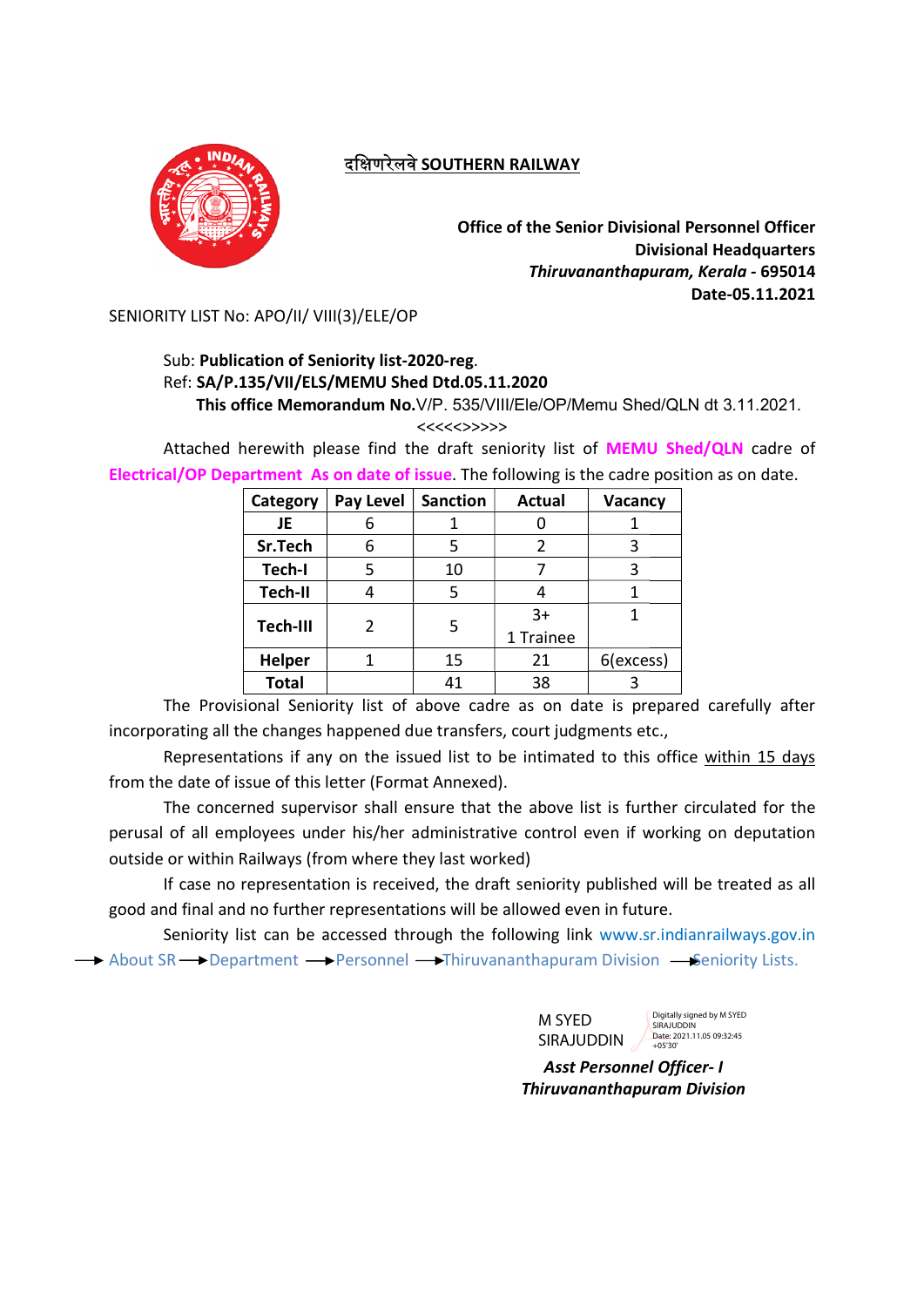

# दक्षिणरेलवे SOUTHERN RAILWAY

Office of the Senior Divisional Personnel Officer Office of the Senior Divisional Personnel Officer Divisional Headquarters Divisional Headquarters Thiruvananthapuram, Kerala Thiruvananthapuram, Kerala - 695014 Date-05.11.2021

SENIORITY LIST No: APO/II/ VIII(3)/ELE/OP

# Sub: Publication of Seniority list-2020-reg. Ref: SA/P.135/VII/ELS/MEMU SA/P.135/VII/ELS/MEMU Shed Dtd.05.11.2020

This office Memorandum No.V/P. 535/VIII/Ele/OP/Memu Shed/QLN dt 3.11.2021.

<<<<<>>>>>

Attached herewith please find the draft seniority list of **MEMU Shed/QLN** cadre of Electrical/OP Department As on date of issue. The following is the cadre position as on date.

| Category       | Pay Level | <b>Sanction</b> | <b>Actual</b>  | Vacancy   |
|----------------|-----------|-----------------|----------------|-----------|
| JE             | 6         | 1               | 0              |           |
| Sr.Tech        | 6         | 5               | $\overline{2}$ | 3         |
| Tech-I         |           | 10              |                |           |
| <b>Tech-II</b> | 4         | 5               | 4              |           |
| Tech-III       | 2         |                 | $3+$           |           |
|                |           | 5               | 1 Trainee      |           |
| <b>Helper</b>  |           | 15              | 21             | 6(excess) |
| <b>Total</b>   |           | 41              | 38             |           |

The Provisional Seniority list of above cadre as on date is prepared carefully after incorporating all the changes happened due transfers, court judgments etc.,

Representations if any on the issued list to be intimated to this office within 15 days from the date of issue of this letter (Format Annexed).

The concerned supervisor shall ensure that the above list is further circulated for the perusal of all employees under his/her administrative control even if working on deputation outside or within Railways (from where they last worked) concerned supervisor shall ensure that the above list is furth<br>all employees under his/her administrative control even if wc<br>within Railways (from where they last worked)<br>see no representation is received, the draft senior perusal of all employees under his/her administrative control even if working on deputation

If case no representation is received, the draft seniority published will be treated as all good and final and no further representations will be allowed even in future. be allowed even in future.

Seniority list can be accessed through the following link www.sr.indianrailways.gov.in About SR **—>** Department **—>** Personnel —> Thiruvananthapuram Division — Seniority Lists.

M SYED SIRAJUDDIN Digitally signed by M SYED **SIRAJUDDIN** Date: 2021.11.05.09:32:45 +05'30

Asst Personnel Officer Personnel Officer- I Thiruvananthapuram Division Thiruvananthapuram Division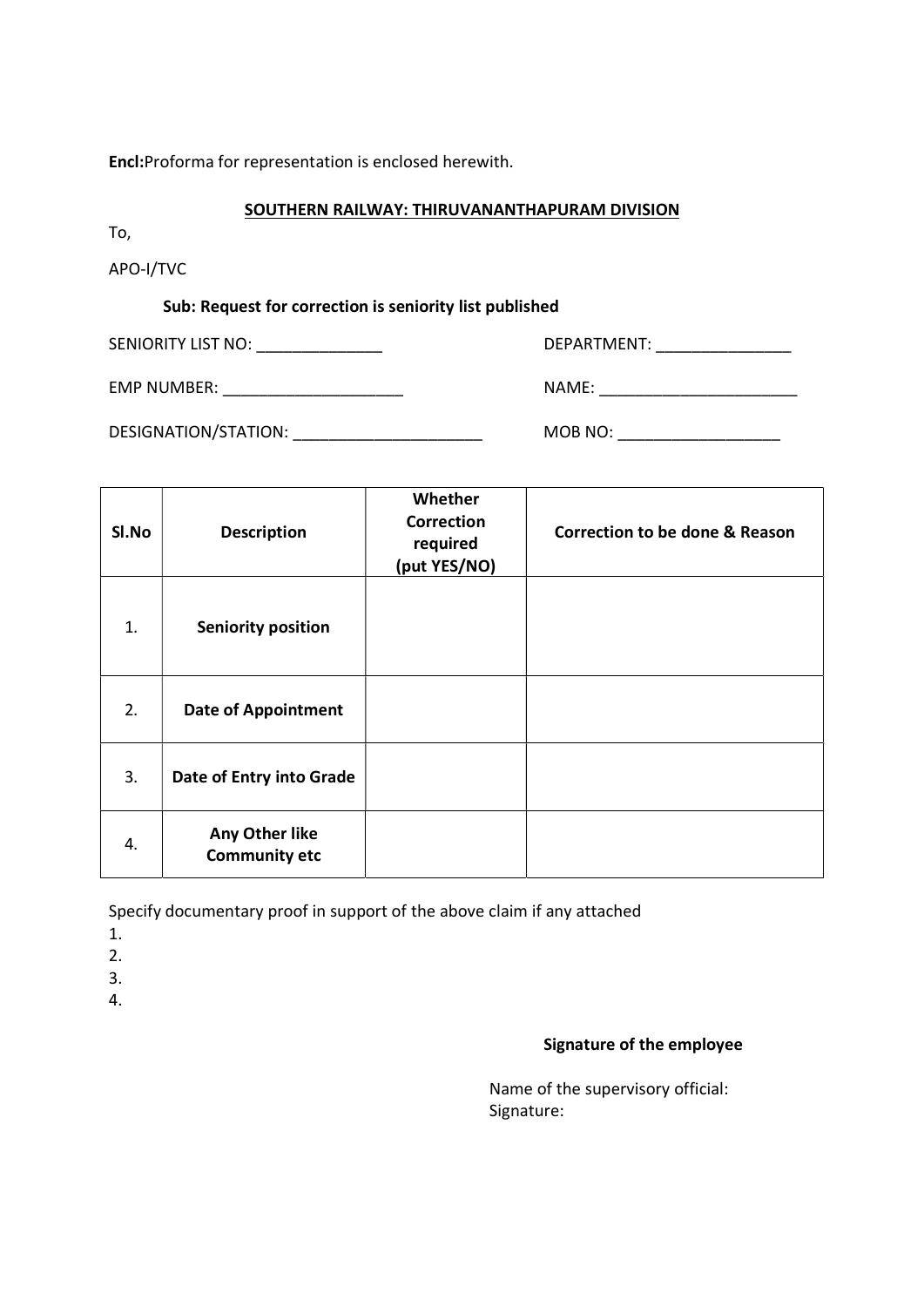Encl:Proforma for representation is enclosed herewith.

#### SOUTHERN RAILWAY: THIRUVANANTHAPURAM DIVISION

To,

APO-I/TVC

### Sub: Request for correction is seniority list published

SENIORITY LIST NO: \_\_\_\_\_\_\_\_\_\_\_\_\_\_ DEPARTMENT: \_\_\_\_\_\_\_\_\_\_\_\_\_\_\_

EMP NUMBER: \_\_\_\_\_\_\_\_\_\_\_\_\_\_\_\_\_\_\_\_ NAME: \_\_\_\_\_\_\_\_\_\_\_\_\_\_\_\_\_\_\_\_\_\_

DESIGNATION/STATION: \_\_\_\_\_\_\_\_\_\_\_\_\_\_\_\_\_\_\_\_\_ MOB NO: \_\_\_\_\_\_\_\_\_\_\_\_\_\_\_\_\_\_

| SI.No | <b>Description</b>                     | Whether<br><b>Correction</b><br>required<br>(put YES/NO) | <b>Correction to be done &amp; Reason</b> |
|-------|----------------------------------------|----------------------------------------------------------|-------------------------------------------|
| 1.    | <b>Seniority position</b>              |                                                          |                                           |
| 2.    | <b>Date of Appointment</b>             |                                                          |                                           |
| 3.    | Date of Entry into Grade               |                                                          |                                           |
| 4.    | Any Other like<br><b>Community etc</b> |                                                          |                                           |

Specify documentary proof in support of the above claim if any attached

- 1.
- 2.

3.

4.

## Signature of the employee

 Name of the supervisory official: Signature: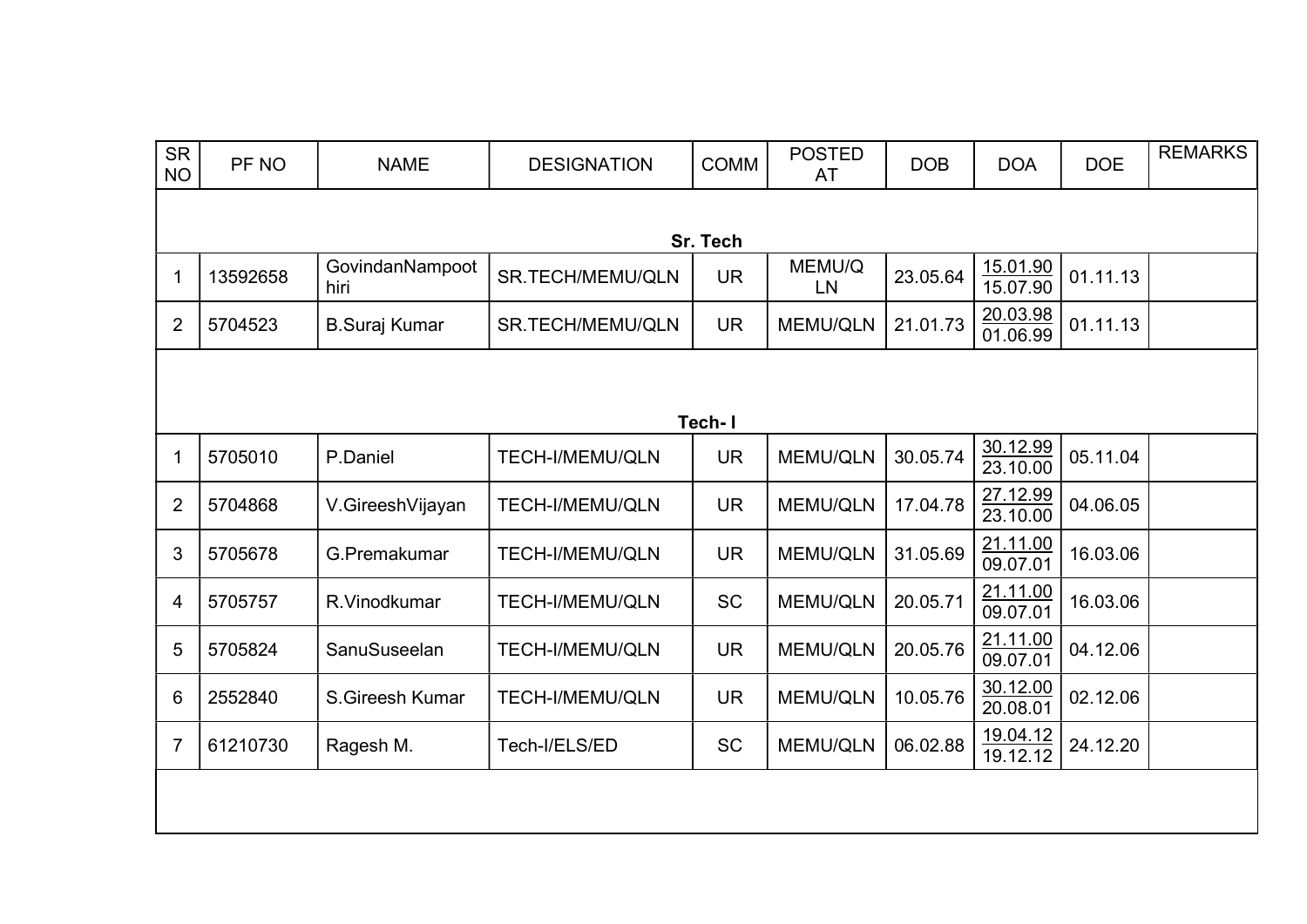| <b>SR</b><br><b>NO</b> | PF NO    | <b>NAME</b>             | <b>DESIGNATION</b>      | <b>COMM</b> | <b>POSTED</b><br>AT | <b>DOB</b> | <b>DOA</b>           | <b>DOE</b> | <b>REMARKS</b> |  |  |
|------------------------|----------|-------------------------|-------------------------|-------------|---------------------|------------|----------------------|------------|----------------|--|--|
|                        | Sr. Tech |                         |                         |             |                     |            |                      |            |                |  |  |
| -1                     | 13592658 | GovindanNampoot<br>hiri | SR.TECH/MEMU/QLN        | <b>UR</b>   | MEMU/Q<br><b>LN</b> | 23.05.64   | 15.01.90<br>15.07.90 | 01.11.13   |                |  |  |
| $\overline{2}$         | 5704523  | <b>B.Suraj Kumar</b>    | <b>SR.TECH/MEMU/QLN</b> | <b>UR</b>   | <b>MEMU/QLN</b>     | 21.01.73   | 20.03.98<br>01.06.99 | 01.11.13   |                |  |  |
|                        |          |                         |                         |             |                     |            |                      |            |                |  |  |
|                        |          |                         |                         | Tech-I      |                     |            |                      |            |                |  |  |
| -1                     | 5705010  | P.Daniel                | <b>TECH-I/MEMU/QLN</b>  | <b>UR</b>   | <b>MEMU/QLN</b>     | 30.05.74   | 30.12.99<br>23.10.00 | 05.11.04   |                |  |  |
| $\overline{2}$         | 5704868  | V.GireeshVijayan        | <b>TECH-I/MEMU/QLN</b>  | <b>UR</b>   | <b>MEMU/QLN</b>     | 17.04.78   | 27.12.99<br>23.10.00 | 04.06.05   |                |  |  |
| 3                      | 5705678  | G.Premakumar            | <b>TECH-I/MEMU/QLN</b>  | <b>UR</b>   | <b>MEMU/QLN</b>     | 31.05.69   | 21.11.00<br>09.07.01 | 16.03.06   |                |  |  |
| 4                      | 5705757  | R.Vinodkumar            | <b>TECH-I/MEMU/QLN</b>  | <b>SC</b>   | <b>MEMU/QLN</b>     | 20.05.71   | 21.11.00<br>09.07.01 | 16.03.06   |                |  |  |
| 5                      | 5705824  | SanuSuseelan            | <b>TECH-I/MEMU/QLN</b>  | <b>UR</b>   | <b>MEMU/QLN</b>     | 20.05.76   | 21.11.00<br>09.07.01 | 04.12.06   |                |  |  |
| 6                      | 2552840  | S.Gireesh Kumar         | <b>TECH-I/MEMU/QLN</b>  | <b>UR</b>   | <b>MEMU/QLN</b>     | 10.05.76   | 30.12.00<br>20.08.01 | 02.12.06   |                |  |  |
| 7                      | 61210730 | Ragesh M.               | Tech-I/ELS/ED           | <b>SC</b>   | <b>MEMU/QLN</b>     | 06.02.88   | 19.04.12<br>19.12.12 | 24.12.20   |                |  |  |
|                        |          |                         |                         |             |                     |            |                      |            |                |  |  |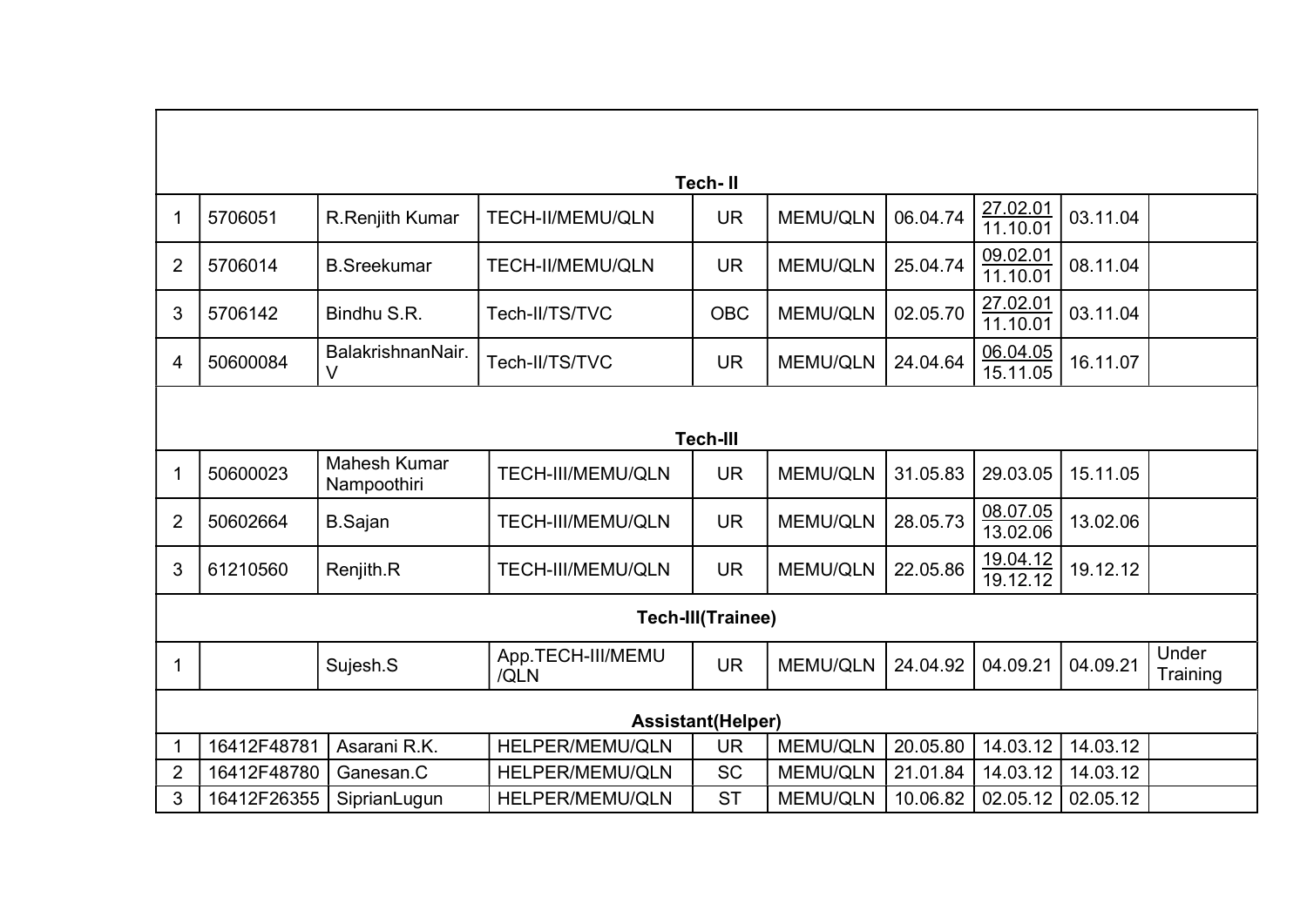| <b>Tech-II</b>           |             |                                    |                           |                 |                 |          |                      |          |                   |  |
|--------------------------|-------------|------------------------------------|---------------------------|-----------------|-----------------|----------|----------------------|----------|-------------------|--|
| 1                        | 5706051     | R.Renjith Kumar                    | <b>TECH-II/MEMU/QLN</b>   | <b>UR</b>       | <b>MEMU/QLN</b> | 06.04.74 | 27.02.01<br>11.10.01 | 03.11.04 |                   |  |
| $\overline{2}$           | 5706014     | <b>B.Sreekumar</b>                 | <b>TECH-II/MEMU/QLN</b>   | <b>UR</b>       | <b>MEMU/QLN</b> | 25.04.74 | 09.02.01<br>11.10.01 | 08.11.04 |                   |  |
| 3                        | 5706142     | Bindhu S.R.                        | Tech-II/TS/TVC            | <b>OBC</b>      | <b>MEMU/QLN</b> | 02.05.70 | 27.02.01<br>11.10.01 | 03.11.04 |                   |  |
| 4                        | 50600084    | BalakrishnanNair.<br>V             | Tech-II/TS/TVC            | <b>UR</b>       | <b>MEMU/QLN</b> | 24.04.64 | 06.04.05<br>15.11.05 | 16.11.07 |                   |  |
|                          |             |                                    |                           |                 |                 |          |                      |          |                   |  |
|                          |             |                                    |                           | <b>Tech-III</b> |                 |          |                      |          |                   |  |
| 1                        | 50600023    | <b>Mahesh Kumar</b><br>Nampoothiri | <b>TECH-III/MEMU/QLN</b>  | <b>UR</b>       | <b>MEMU/QLN</b> | 31.05.83 | 29.03.05             | 15.11.05 |                   |  |
| $\overline{2}$           | 50602664    | <b>B.Sajan</b>                     | TECH-III/MEMU/QLN         | <b>UR</b>       | <b>MEMU/QLN</b> | 28.05.73 | 08.07.05<br>13.02.06 | 13.02.06 |                   |  |
| 3                        | 61210560    | Renjith.R                          | <b>TECH-III/MEMU/QLN</b>  | <b>UR</b>       | <b>MEMU/QLN</b> | 22.05.86 | 19.04.12<br>19.12.12 | 19.12.12 |                   |  |
| <b>Tech-III(Trainee)</b> |             |                                    |                           |                 |                 |          |                      |          |                   |  |
| 1                        |             | Sujesh.S                           | App.TECH-III/MEMU<br>/QLN | <b>UR</b>       | <b>MEMU/QLN</b> | 24.04.92 | 04.09.21             | 04.09.21 | Under<br>Training |  |
| <b>Assistant(Helper)</b> |             |                                    |                           |                 |                 |          |                      |          |                   |  |
|                          | 16412F48781 | Asarani R.K.                       | HELPER/MEMU/QLN           | <b>UR</b>       | <b>MEMU/QLN</b> | 20.05.80 | 14.03.12             | 14.03.12 |                   |  |
| $\overline{2}$           | 16412F48780 | Ganesan.C                          | HELPER/MEMU/QLN           | <b>SC</b>       | <b>MEMU/QLN</b> | 21.01.84 | 14.03.12             | 14.03.12 |                   |  |
| 3                        | 16412F26355 | SiprianLugun                       | HELPER/MEMU/QLN           | <b>ST</b>       | <b>MEMU/QLN</b> | 10.06.82 | 02.05.12             | 02.05.12 |                   |  |